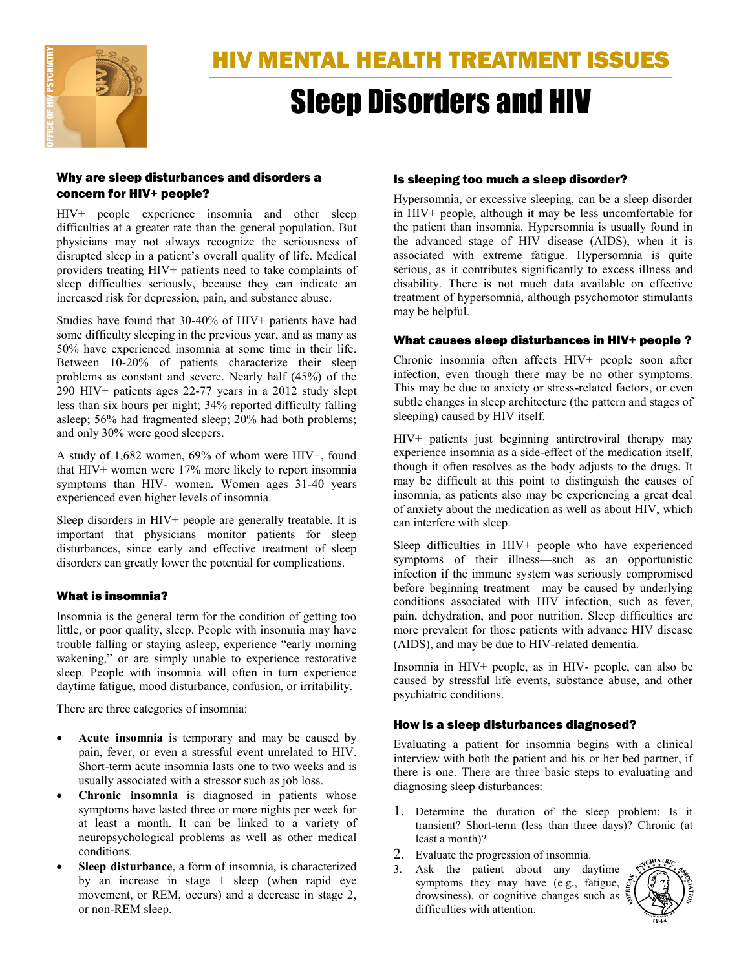

HIV MENTAL HEALTH TREATMENT ISSUES

# Sleep Disorders and HIV

# Why are sleep disturbances and disorders a concern for HIV+ people?

HIV+ people experience insomnia and other sleep difficulties at a greater rate than the general population. But physicians may not always recognize the seriousness of disrupted sleep in a patient's overall quality of life. Medical providers treating HIV+ patients need to take complaints of sleep difficulties seriously, because they can indicate an increased risk for depression, pain, and substance abuse.

Studies have found that 30-40% of HIV+ patients have had some difficulty sleeping in the previous year, and as many as 50% have experienced insomnia at some time in their life. Between 10-20% of patients characterize their sleep problems as constant and severe. Nearly half (45%) of the 290 HIV+ patients ages 22-77 years in a 2012 study slept less than six hours per night; 34% reported difficulty falling asleep; 56% had fragmented sleep; 20% had both problems; and only 30% were good sleepers.

A study of 1,682 women, 69% of whom were HIV+, found that HIV+ women were 17% more likely to report insomnia symptoms than HIV- women. Women ages 31-40 years experienced even higher levels of insomnia.

Sleep disorders in HIV+ people are generally treatable. It is important that physicians monitor patients for sleep disturbances, since early and effective treatment of sleep disorders can greatly lower the potential for complications.

## What is insomnia?

Insomnia is the general term for the condition of getting too little, or poor quality, sleep. People with insomnia may have trouble falling or staying asleep, experience "early morning wakening," or are simply unable to experience restorative sleep. People with insomnia will often in turn experience daytime fatigue, mood disturbance, confusion, or irritability.

There are three categories of insomnia:

- **Acute insomnia** is temporary and may be caused by pain, fever, or even a stressful event unrelated to HIV. Short-term acute insomnia lasts one to two weeks and is usually associated with a stressor such as job loss.
- **•** Chronic insomnia is diagnosed in patients whose symptoms have lasted three or more nights per week for at least a month. It can be linked to a variety of neuropsychological problems as well as other medical conditions.
- **Sleep disturbance**, a form of insomnia, is characterized by an increase in stage 1 sleep (when rapid eye movement, or REM, occurs) and a decrease in stage 2, or non-REM sleep.

# Is sleeping too much a sleep disorder?

Hypersomnia, or excessive sleeping, can be a sleep disorder in HIV+ people, although it may be less uncomfortable for the patient than insomnia. Hypersomnia is usually found in the advanced stage of HIV disease (AIDS), when it is associated with extreme fatigue. Hypersomnia is quite serious, as it contributes significantly to excess illness and disability. There is not much data available on effective treatment of hypersomnia, although psychomotor stimulants may be helpful.

## What causes sleep disturbances in HIV+ people ?

Chronic insomnia often affects HIV+ people soon after infection, even though there may be no other symptoms. This may be due to anxiety or stress-related factors, or even subtle changes in sleep architecture (the pattern and stages of sleeping) caused by HIV itself.

HIV+ patients just beginning antiretroviral therapy may experience insomnia as a side-effect of the medication itself, though it often resolves as the body adjusts to the drugs. It may be difficult at this point to distinguish the causes of insomnia, as patients also may be experiencing a great deal of anxiety about the medication as well as about HIV, which can interfere with sleep.

Sleep difficulties in HIV+ people who have experienced symptoms of their illness—such as an opportunistic infection if the immune system was seriously compromised before beginning treatment—may be caused by underlying conditions associated with HIV infection, such as fever, pain, dehydration, and poor nutrition. Sleep difficulties are more prevalent for those patients with advance HIV disease (AIDS), and may be due to HIV-related dementia.

Insomnia in HIV+ people, as in HIV- people, can also be caused by stressful life events, substance abuse, and other psychiatric conditions.

## How is a sleep disturbances diagnosed?

Evaluating a patient for insomnia begins with a clinical interview with both the patient and his or her bed partner, if there is one. There are three basic steps to evaluating and diagnosing sleep disturbances:

- 1. Determine the duration of the sleep problem: Is it transient? Short-term (less than three days)? Chronic (at least a month)?
- 2. Evaluate the progression of insomnia.
- 3. Ask the patient about any daytime symptoms they may have (e.g., fatigue, drowsiness), or cognitive changes such as difficulties with attention.